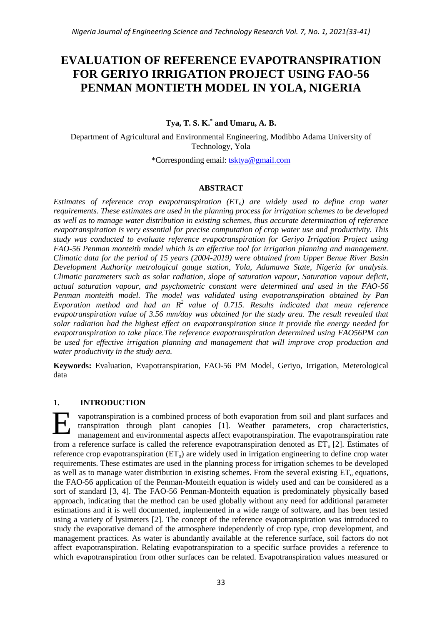# **EVALUATION OF REFERENCE EVAPOTRANSPIRATION FOR GERIYO IRRIGATION PROJECT USING FAO-56 PENMAN MONTIETH MODEL IN YOLA, NIGERIA**

# **Tya, T. S. K. \* and Umaru, A. B.**

Department of Agricultural and Environmental Engineering, Modibbo Adama University of Technology, Yola

\*Corresponding email: [tsktya@gmail.com](mailto:tsktya@gmail.com)

# **ABSTRACT**

*Estimates of reference crop evapotranspiration (ETo) are widely used to define crop water requirements. These estimates are used in the planning process for irrigation schemes to be developed as well as to manage water distribution in existing schemes, thus accurate determination of reference evapotranspiration is very essential for precise computation of crop water use and productivity. This study was conducted to evaluate reference evapotranspiration for Geriyo Irrigation Project using FAO-56 Penman monteith model which is an effective tool for irrigation planning and management. Climatic data for the period of 15 years (2004-2019) were obtained from Upper Benue River Basin Development Authority metrological gauge station, Yola, Adamawa State, Nigeria for analysis. Climatic parameters such as solar radiation, slope of saturation vapour, Saturation vapour deficit, actual saturation vapour, and psychometric constant were determined and used in the FAO-56 Penman monteith model. The model was validated using evapotranspiration obtained by Pan Evporation method and had an R<sup>2</sup>value of 0.715. Results indicated that mean reference evapotranspiration value of 3.56 mm/day was obtained for the study area. The result revealed that solar radiation had the highest effect on evapotranspiration since it provide the energy needed for evapotranspiration to take place.The reference evapotranspiration determined using FAO56PM can be used for effective irrigation planning and management that will improve crop production and water productivity in the study aera.*

**Keywords:** Evaluation, Evapotranspiration, FAO-56 PM Model, Geriyo, Irrigation, Meterological data

# **1. INTRODUCTION**

vapotranspiration is a combined process of both evaporation from soil and plant surfaces and transpiration through plant canopies [1]. Weather parameters, crop characteristics, management and environmental aspects affect evapotranspiration. The evapotranspiration rate from a reference surface is called the reference evapotranspiration denoted as  $ET_0$  [2]. Estimates of reference crop evapotranspiration  $(ET_0)$  are widely used in irrigation engineering to define crop water requirements. These estimates are used in the planning process for irrigation schemes to be developed as well as to manage water distribution in existing schemes. From the several existing  $ET_0$  equations, the FAO-56 application of the Penman-Monteith equation is widely used and can be considered as a sort of standard [3, 4]. The FAO-56 Penman-Monteith equation is predominately physically based approach, indicating that the method can be used globally without any need for additional parameter estimations and it is well documented, implemented in a wide range of software, and has been tested using a variety of lysimeters [2]. The concept of the reference evapotranspiration was introduced to study the evaporative demand of the atmosphere independently of crop type, crop development, and management practices. As water is abundantly available at the reference surface, soil factors do not affect evapotranspiration. Relating evapotranspiration to a specific surface provides a reference to which evapotranspiration from other surfaces can be related. Evapotranspiration values measured or E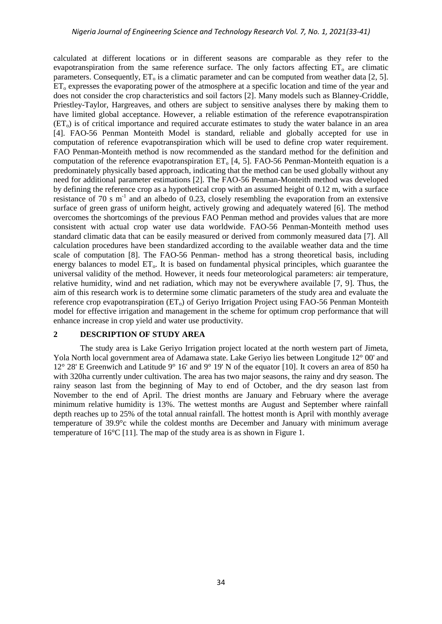calculated at different locations or in different seasons are comparable as they refer to the evapotranspiration from the same reference surface. The only factors affecting  $ET_0$  are climatic parameters. Consequently,  $ET_0$  is a climatic parameter and can be computed from weather data [2, 5].  $ET_0$  expresses the evaporating power of the atmosphere at a specific location and time of the year and does not consider the crop characteristics and soil factors [2]. Many models such as Blanney-Criddle, Priestley-Taylor, Hargreaves, and others are subject to sensitive analyses there by making them to have limited global acceptance. However, a reliable estimation of the reference evapotranspiration  $(ET<sub>o</sub>)$  is of critical importance and required accurate estimates to study the water balance in an area [4]. FAO-56 Penman Monteith Model is standard, reliable and globally accepted for use in computation of reference evapotranspiration which will be used to define crop water requirement. FAO Penman-Monteith method is now recommended as the standard method for the definition and computation of the reference evapotranspiration  $ET_0$  [4, 5]. FAO-56 Penman-Monteith equation is a predominately physically based approach, indicating that the method can be used globally without any need for additional parameter estimations [2]. The FAO-56 Penman-Monteith method was developed by defining the reference crop as a hypothetical crop with an assumed height of 0.12 m, with a surface resistance of 70 s  $m^{-1}$  and an albedo of 0.23, closely resembling the evaporation from an extensive surface of green grass of uniform height, actively growing and adequately watered [6]. The method overcomes the shortcomings of the previous FAO Penman method and provides values that are more consistent with actual crop water use data worldwide. FAO-56 Penman-Monteith method uses standard climatic data that can be easily measured or derived from commonly measured data [7]. All calculation procedures have been standardized according to the available weather data and the time scale of computation [8]. The FAO-56 Penman- method has a strong theoretical basis, including energy balances to model ET<sub>0</sub>. It is based on fundamental physical principles, which guarantee the universal validity of the method. However, it needs four meteorological parameters: air temperature, relative humidity, wind and net radiation, which may not be everywhere available [7, 9]. Thus, the aim of this research work is to determine some climatic parameters of the study area and evaluate the reference crop evapotranspiration  $(ET_0)$  of Geriyo Irrigation Project using FAO-56 Penman Monteith model for effective irrigation and management in the scheme for optimum crop performance that will enhance increase in crop yield and water use productivity.

## **2 DESCRIPTION OF STUDY AREA**

The study area is Lake Geriyo Irrigation project located at the north western part of Jimeta, Yola North local government area of Adamawa state. Lake Geriyo lies between Longitude 12° 00' and 12° 28' E Greenwich and Latitude 9° 16' and 9° 19' N of the equator [10]. It covers an area of 850 ha with 320ha currently under cultivation. The area has two major seasons, the rainy and dry season. The rainy season last from the beginning of May to end of October, and the dry season last from November to the end of April. The driest months are January and February where the average minimum relative humidity is 13%. The wettest months are August and September where rainfall depth reaches up to 25% of the total annual rainfall. The hottest month is April with monthly average temperature of 39.9°c while the coldest months are December and January with minimum average temperature of 16°C [11]. The map of the study area is as shown in Figure 1.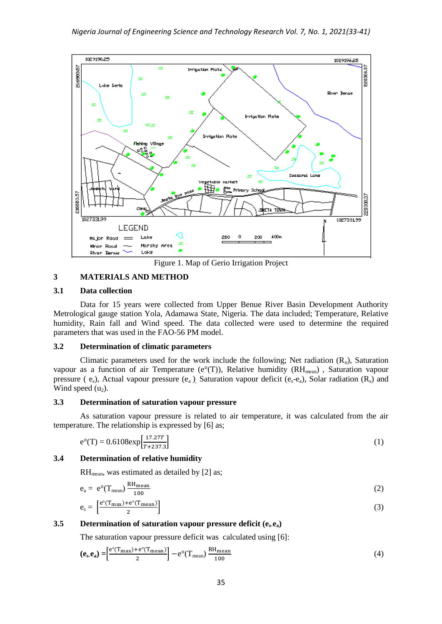

Figure 1. Map of Gerio Irrigation Project

# **3 MATERIALS AND METHOD**

## **3.1 Data collection**

Data for 15 years were collected from Upper Benue River Basin Development Authority Metrological gauge station Yola, Adamawa State, Nigeria. The data included; Temperature, Relative humidity, Rain fall and Wind speed. The data collected were used to determine the required parameters that was used in the FAO-56 PM model.

## **3.2 Determination of climatic parameters**

Climatic parameters used for the work include the following; Net radiation  $(R_n)$ , Saturation vapour as a function of air Temperature (e°(T)), Relative humidity ( $RH_{mean}$ ), Saturation vapour pressure ( $e_s$ ), Actual vapour pressure ( $e_a$ ), Saturation vapour deficit ( $e_s - e_a$ ), Solar radiation ( $R_s$ ) and Wind speed  $(u_2)$ .

## **3.3 Determination of saturation vapour pressure**

As saturation vapour pressure is related to air temperature, it was calculated from the air temperature. The relationship is expressed by [6] as;

$$
e^{\circ}(T) = 0.6108 \exp\left[\frac{17.27T}{T + 237.3}\right]
$$
 (1)

## **3.4 Determination of relative humidity**

 $RH_{mean}$ , was estimated as detailed by [2] as;

$$
e_a = e^{\circ}(T_{mean}) \frac{RH_{mean}}{100}
$$
  
\n
$$
e_s = \left[\frac{e^{\circ}(T_{max}) + e^{\circ}(T_{mean})}{2}\right]
$$
\n(2)

## **3.5 Determination of saturation vapour pressure deficit (es-ea)**

The saturation vapour pressure deficit was calculated using [6]:

$$
\left(\mathbf{e}_{\mathbf{s}}.\mathbf{e}_{\mathbf{a}}\right) = \left[\frac{e^{\circ}(T_{\text{max}}) + e^{\circ}(T_{\text{mean}})}{2}\right] - e^{\circ}(T_{\text{mean}}) \frac{RH_{\text{mean}}}{100} \tag{4}
$$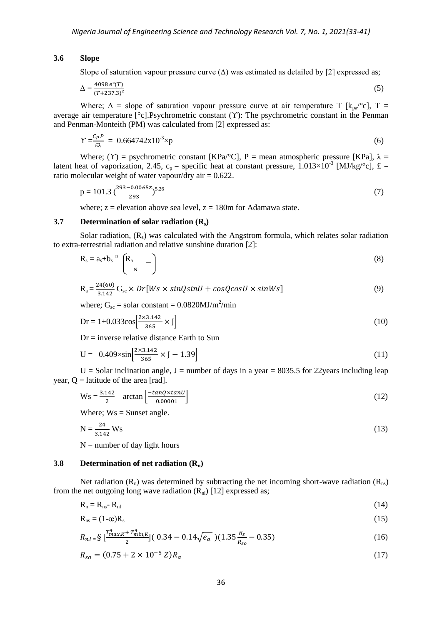#### **3.6 Slope**

Slope of saturation vapour pressure curve  $(\Delta)$  was estimated as detailed by [2] expressed as;

$$
\Delta = \frac{4098 \, e^{\circ}(T)}{(T + 237.3)^2} \tag{5}
$$

Where;  $\Delta$  = slope of saturation vapour pressure curve at air temperature T [ $k_{pa}$ °c], T = average air temperature [°c].Psychrometric constant (ϒ): The psychrometric constant in the Penman and Penman-Monteith (PM) was calculated from [2] expressed as:

$$
Y = \frac{c_P P}{\epsilon \lambda} = 0.664742x10^3 \times p \tag{6}
$$

Where; (Y) = psychrometric constant [KPa/°C], P = mean atmospheric pressure [KPa],  $\lambda$  = latent heat of vaporization, 2.45,  $c_p$  = specific heat at constant pressure,  $1.013\times10^{-3}$  [MJ/kg/°c], £ = ratio molecular weight of water vapour/dry air  $= 0.622$ .

$$
p = 101.3 \left(\frac{293 - 0.0065z}{293}\right)^{5.26} \tag{7}
$$

where;  $z =$  elevation above sea level,  $z = 180$ m for Adamawa state.

#### **3.7 Determination of solar radiation (Rs)**

Solar radiation,  $(R_s)$  was calculated with the Angstrom formula, which relates solar radiation to extra-terrestrial radiation and relative sunshine duration [2]:

$$
R_s = a_s + b_s \left[ \begin{array}{cc} R_a & - \end{array} \right] \tag{8}
$$

$$
R_a = \frac{24(60)}{3.142} G_{sc} \times Dr[Ws \times sinQsinU + cosQcosU \times sinWs]
$$
 (9)

where;  $G_{sc}$  = solar constant = 0.0820MJ/m<sup>2</sup>/min

$$
Dr = 1 + 0.033 \cos \left[\frac{2 \times 3.142}{365} \times J\right]
$$
 (10)

 $Dr =$  inverse relative distance Earth to Sun

$$
U = 0.409 \times \sin\left[\frac{2 \times 3.142}{365} \times J - 1.39\right]
$$
 (11)

U = Solar inclination angle, J = number of days in a year = 8035.5 for 22years including leap year,  $Q =$  latitude of the area [rad].

$$
Ws = \frac{3.142}{2} - \arctan\left[\frac{-\tan Q \times \tan U}{0.00001}\right]
$$
\n(12)

Where;  $Ws =$  Sunset angle.

$$
N = \frac{24}{3.142} Ws
$$
 (13)

 $N =$  number of day light hours

## **3.8 Determination of net radiation (Rn)**

Net radiation  $(R_n)$  was determined by subtracting the net incoming short-wave radiation  $(R_{ns})$ from the net outgoing long wave radiation  $(R_n)$  [12] expressed as:

$$
R_n = R_{ns} - R_{nl} \tag{14}
$$

$$
R_{ns} = (1 - \alpha)R_s \tag{15}
$$

$$
R_{nl} = \frac{\sum_{i=1}^{n} \left[\frac{T_{max,K}^4 + T_{min,K}^4}{2}\right] (0.34 - 0.14\sqrt{e_a})(1.35\frac{R_s}{R_{so}} - 0.35) \tag{16}
$$

$$
R_{so} = (0.75 + 2 \times 10^{-5} \text{ Z})R_a \tag{17}
$$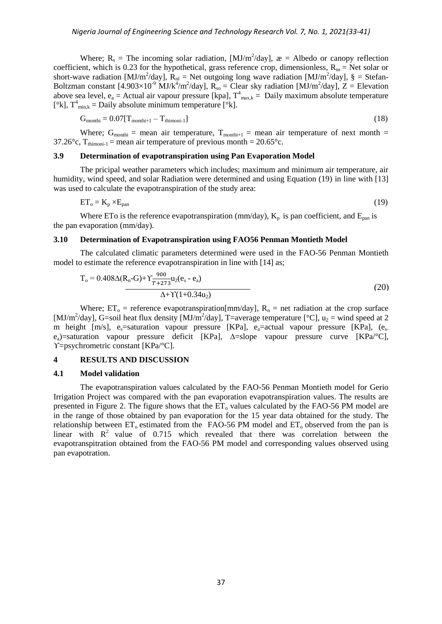Where;  $R_s$  = The incoming solar radiation, [MJ/m<sup>2</sup>/day],  $\mathbf{r}$  = Albedo or canopy reflection coefficient, which is 0.23 for the hypothetical, grass reference crop, dimensionless,  $R_{ns}$  = Net solar or short-wave radiation [MJ/m<sup>2</sup>/day],  $R_{nl}$  = Net outgoing long wave radiation [MJ/m<sup>2</sup>/day], § = Stefan-Boltzman constant  $[4.903\times10^{-9} \text{ MJ/k}^4/\text{m}^2/\text{day}]$ ,  $R_{so}$  = Clear sky radiation  $[\text{MJ/m}^2/\text{day}]$ , Z = Elevation above sea level,  $e_a$  = Actual air vapour pressure [kpa],  $T^4$ <sub>max,k</sub> = Daily maximum absolute temperature [ $\mathrm{e}^{\mathrm{c}}$ k],  $T_{\min,k}^4$  = Daily absolute minimum temperature [ $\mathrm{e}^{\mathrm{c}}$ k].

$$
G_{\text{monthi}} = 0.07[T_{\text{monthi+1}} - T_{\text{thimoni-1}}]
$$
\n(18)

Where;  $G_{\text{monthi}} = \text{mean air temperature}, T_{\text{monthi+1}} = \text{mean air temperature of next month} =$ 37.26 $^{\circ}$ c, T<sub>thimoni-1</sub> = mean air temperature of previous month = 20.65 $^{\circ}$ c.

#### **3.9 Determination of evapotranspiration using Pan Evaporation Model**

The pricipal weather parameters which includes; maximum and minimum air temperature, air humidity, wind speed, and solar Radiation were determined and using Equation (19) in line with [13] was used to calculate the evapotranspiration of the study area:

$$
ET_o = K_p \times E_{pan}
$$
 (19)

Where ETo is the reference evapotranspiration ( $mm/day$ ),  $K_p$  is pan coefficient, and  $E_{pan}$  is the pan evaporation (mm/day).

## **3.10 Determination of Evapotranspiration using FAO56 Penman Montieth Model**

The calculated climatic parameters determined were used in the FAO-56 Penman Montieth model to estimate the reference evapotranspiration in line with [14] as;

$$
T_o = 0.408\Delta(R_n - G) + \Upsilon \frac{900}{T + 273} u_2 (e_s - e_a)
$$
  

$$
\Delta + \Upsilon (1 + 0.34 u_2)
$$
 (20)

Where;  $ET_0$  = reference evapotranspiration[mm/day],  $R_n$  = net radiation at the crop surface [MJ/m<sup>2</sup>/day], G=soil heat flux density [MJ/m<sup>2</sup>/day], T=average temperature [°C], u<sub>2</sub> = wind speed at 2 m height  $[m/s]$ , e<sub>s</sub>=saturation vapour pressure [KPa], e<sub>a</sub>=actual vapour pressure [KPa], (e<sub>s-</sub> ea)=saturation vapour pressure deficit [KPa], ∆=slope vapour pressure curve [KPa/°C], ϒ=psychrometric constant [KPa/°C].

## **4 RESULTS AND DISCUSSION**

## **4.1 Model validation**

The evapotranspiration values calculated by the FAO-56 Penman Montieth model for Gerio Irrigation Project was compared with the pan evaporation evapotranspiration values. The results are presented in Figure 2. The figure shows that the  $ET_0$  values calculated by the FAO-56 PM model are in the range of those obtained by pan evaporation for the 15 year data obtained for the study. The relationship between  $ET_0$  estimated from the FAO-56 PM model and  $ET_0$  observed from the pan is linear with  $R^2$  value of 0.715 which revealed that there was correlation between the evapotranspitration obtained from the FAO-56 PM model and corresponding values observed using pan evapotration.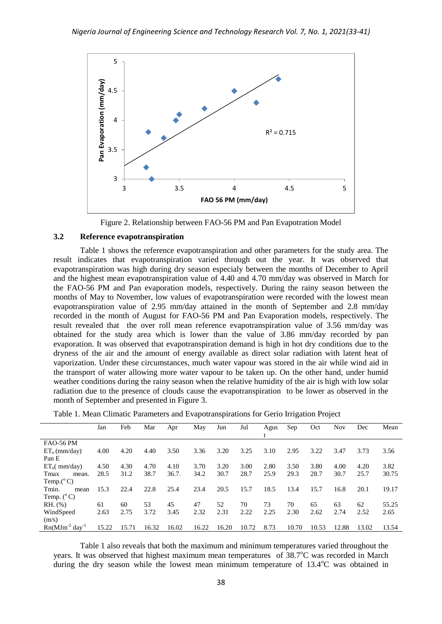

Figure 2. Relationship between FAO-56 PM and Pan Evapotration Model

# **3.2 Reference evapotranspiration**

Table 1 shows the reference evapotranspiration and other parameters for the study area. The result indicates that evapotranspiration varied through out the year. It was observed that evapotranspiration was high during dry season especialy between the months of December to April and the highest mean evapotranspiration value of 4.40 and 4.70 mm/day was observed in March for the FAO-56 PM and Pan evaporation models, respectively. During the rainy season between the months of May to November, low values of evapotranspiration were recorded with the lowest mean evapotranspiration value of 2.95 mm/day attained in the month of September and 2.8 mm/day recorded in the month of August for FAO-56 PM and Pan Evaporation models, respectively. The result revealed that the over roll mean reference evapotranspiration value of 3.56 mm/day was obtained for the study area which is lower than the value of 3.86 mm/day recorded by pan evaporation. It was observed that evapotranspiration demand is high in hot dry conditions due to the dryness of the air and the amount of energy available as direct solar radiation with latent heat of vaporization. Under these circumstances, much water vapour was stored in the air while wind aid in the transport of water allowing more water vapour to be taken up. On the other hand, under humid weather conditions during the rainy season when the relative humidity of the air is high with low solar radiation due to the presence of clouds cause the evapotranspiration to be lower as observed in the month of September and presented in Figure 3.

|                        | Jan   | Feb   | Mar   | Apr   | May   | Jun   | Jul   | Agus | Sep   | Oct   | <b>Nov</b> | Dec   | Mean  |
|------------------------|-------|-------|-------|-------|-------|-------|-------|------|-------|-------|------------|-------|-------|
|                        |       |       |       |       |       |       |       |      |       |       |            |       |       |
| <b>FAO-56 PM</b>       |       |       |       |       |       |       |       |      |       |       |            |       |       |
| $ET_0$ (mm/day)        | 4.00  | 4.20  | 4.40  | 3.50  | 3.36  | 3.20  | 3.25  | 3.10 | 2.95  | 3.22  | 3.47       | 3.73  | 3.56  |
| Pan E                  |       |       |       |       |       |       |       |      |       |       |            |       |       |
| $ET_0$ (mm/day)        | 4.50  | 4.30  | 4.70  | 4.10  | 3.70  | 3.20  | 3.00  | 2.80 | 3.50  | 3.80  | 4.00       | 4.20  | 3.82  |
| Tmax<br>mean.          | 28.5  | 31.2  | 38.7  | 36.7. | 34.2  | 30.7  | 28.7  | 25.9 | 29.3  | 28.7  | 30.7       | 25.7  | 30.75 |
| Temp. $(^{\circ}C)$    |       |       |       |       |       |       |       |      |       |       |            |       |       |
| Tmin.<br>mean          | 15.3  | 22.4  | 22.8  | 25.4  | 23.4  | 20.5  | 15.7  | 18.5 | 13.4  | 15.7  | 16.8       | 20.1  | 19.17 |
| Temp. $(^{\circ}C)$    |       |       |       |       |       |       |       |      |       |       |            |       |       |
| $RH.$ (%)              | 61    | 60    | 53    | 45    | 47    | 52    | 70    | 73   | 70    | 65    | 63         | 62    | 55.25 |
| WindSpeed              | 2.63  | 2.75  | 3.72  | 3.45  | 2.32  | 2.31  | 2.22  | 2.25 | 2.30  | 2.62  | 2.74       | 2.52  | 2.65  |
| (m/s)                  |       |       |       |       |       |       |       |      |       |       |            |       |       |
| $Rn(MJm^{-2}day^{-1})$ | 15.22 | 15.71 | 16.32 | 16.02 | 16.22 | 16.20 | 10.72 | 8.73 | 10.70 | 10.53 | 12.88      | 13.02 | 13.54 |

Table 1. Mean Climatic Parameters and Evapotranspirations for Gerio Irrigation Project

Table 1 also reveals that both the maximum and minimum temperatures varied throughout the years. It was observed that highest maximum mean temperatures of  $38.7^{\circ}$ C was recorded in March during the dry season while the lowest mean minimum temperature of  $13.4^{\circ}$ C was obtained in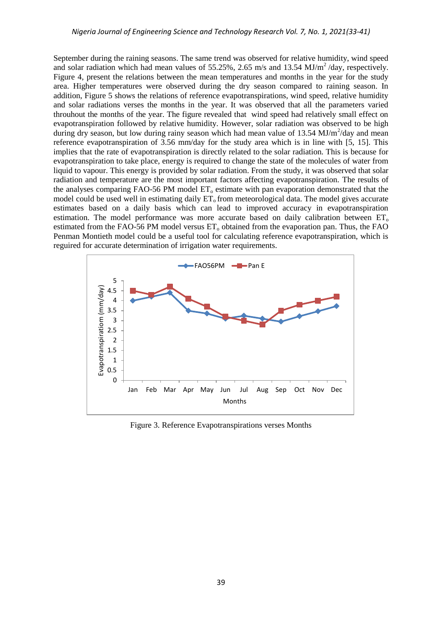September during the raining seasons. The same trend was observed for relative humidity, wind speed and solar radiation which had mean values of 55.25%, 2.65 m/s and 13.54 MJ/m<sup>2</sup>/day, respectively. Figure 4, present the relations between the mean temperatures and months in the year for the study area. Higher temperatures were observed during the dry season compared to raining season. In addition, Figure 5 shows the relations of reference evapotranspirations, wind speed, relative humidity and solar radiations verses the months in the year. It was observed that all the parameters varied throuhout the months of the year. The figure revealed that wind speed had relatively small effect on evapotranspiration followed by relative humidity. However, solar radiation was observed to be high during dry season, but low during rainy season which had mean value of  $13.54 \text{ MJ/m}^2/\text{day}$  and mean reference evapotranspiration of 3.56 mm/day for the study area which is in line with [5, 15]. This implies that the rate of evapotranspiration is directly related to the solar radiation. This is because for evapotranspiration to take place, energy is required to change the state of the molecules of water from liquid to vapour. This energy is provided by solar radiation. From the study, it was observed that solar radiation and temperature are the most important factors affecting evapotranspiration. The results of the analyses comparing FAO-56 PM model  $ET_0$  estimate with pan evaporation demonstrated that the model could be used well in estimating daily  $ET_0$  from meteorological data. The model gives accurate estimates based on a daily basis which can lead to improved accuracy in evapotranspiration estimation. The model performance was more accurate based on daily calibration between ET<sub>o</sub> estimated from the FAO-56 PM model versus  $ET_0$  obtained from the evaporation pan. Thus, the FAO Penman Montieth model could be a useful tool for calculating reference evapotranspiration, which is reguired for accurate determination of irrigation water requirements.



Figure 3. Reference Evapotranspirations verses Months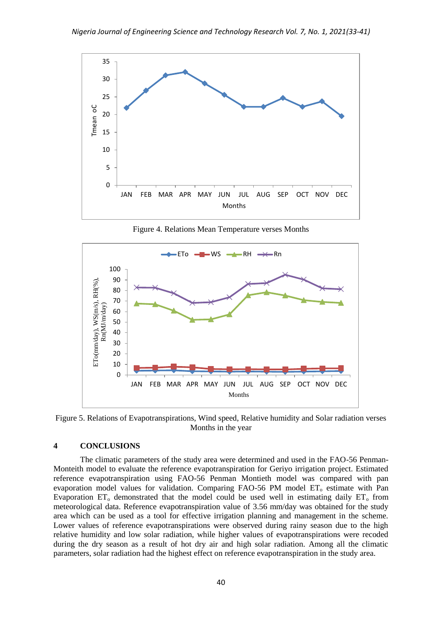

Figure 4. Relations Mean Temperature verses Months



Figure 5. Relations of Evapotranspirations, Wind speed, Relative humidity and Solar radiation verses Months in the year

## **4 CONCLUSIONS**

The climatic parameters of the study area were determined and used in the FAO-56 Penman-Monteith model to evaluate the reference evapotranspiration for Geriyo irrigation project. Estimated reference evapotranspiration using FAO-56 Penman Montieth model was compared with pan evaporation model values for validation. Comparing FAO-56 PM model  $ET_0$  estimate with Pan Evaporation  $ET_0$  demonstrated that the model could be used well in estimating daily  $ET_0$  from meteorological data. Reference evapotranspiration value of 3.56 mm/day was obtained for the study area which can be used as a tool for effective irrigation planning and management in the scheme. Lower values of reference evapotranspirations were observed during rainy season due to the high relative humidity and low solar radiation, while higher values of evapotranspirations were recoded during the dry season as a result of hot dry air and high solar radiation. Among all the climatic parameters, solar radiation had the highest effect on reference evapotranspiration in the study area.